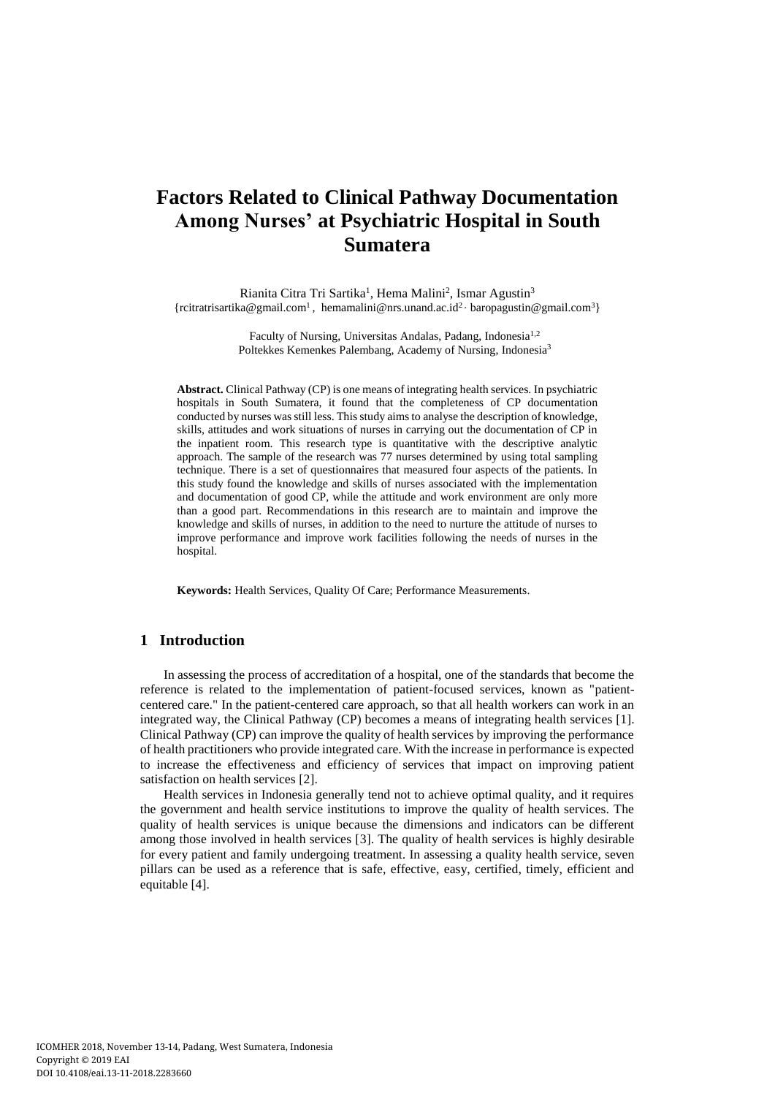# **Factors Related to Clinical Pathway Documentation Among Nurses' at Psychiatric Hospital in South Sumatera**

Rianita Citra Tri Sartika<sup>1</sup>, Hema Malini<sup>2</sup>, Ismar Agustin<sup>3</sup> {rcitratrisartika@gmail.com<sup>1</sup>, hemamalini@nrs.unand.ac.id<sup>2,</sup> baropagustin@gmail.com<sup>3</sup>}

> Faculty of Nursing, Universitas Andalas, Padang, Indonesia<sup>1,2</sup> Poltekkes Kemenkes Palembang, Academy of Nursing, Indonesia<sup>3</sup>

**Abstract.** Clinical Pathway (CP) is one means of integrating health services. In psychiatric hospitals in South Sumatera, it found that the completeness of CP documentation conducted by nurses was still less. This study aims to analyse the description of knowledge, skills, attitudes and work situations of nurses in carrying out the documentation of CP in the inpatient room. This research type is quantitative with the descriptive analytic approach. The sample of the research was 77 nurses determined by using total sampling technique. There is a set of questionnaires that measured four aspects of the patients. In this study found the knowledge and skills of nurses associated with the implementation and documentation of good CP, while the attitude and work environment are only more than a good part. Recommendations in this research are to maintain and improve the knowledge and skills of nurses, in addition to the need to nurture the attitude of nurses to improve performance and improve work facilities following the needs of nurses in the hospital.

**Keywords:** Health Services, Quality Of Care; Performance Measurements.

## **1 Introduction**

In assessing the process of accreditation of a hospital, one of the standards that become the reference is related to the implementation of patient-focused services, known as "patientcentered care." In the patient-centered care approach, so that all health workers can work in an integrated way, the Clinical Pathway (CP) becomes a means of integrating health services [1]. Clinical Pathway (CP) can improve the quality of health services by improving the performance of health practitioners who provide integrated care. With the increase in performance is expected to increase the effectiveness and efficiency of services that impact on improving patient satisfaction on health services [2].

Health services in Indonesia generally tend not to achieve optimal quality, and it requires the government and health service institutions to improve the quality of health services. The quality of health services is unique because the dimensions and indicators can be different among those involved in health services [3]. The quality of health services is highly desirable for every patient and family undergoing treatment. In assessing a quality health service, seven pillars can be used as a reference that is safe, effective, easy, certified, timely, efficient and equitable [4].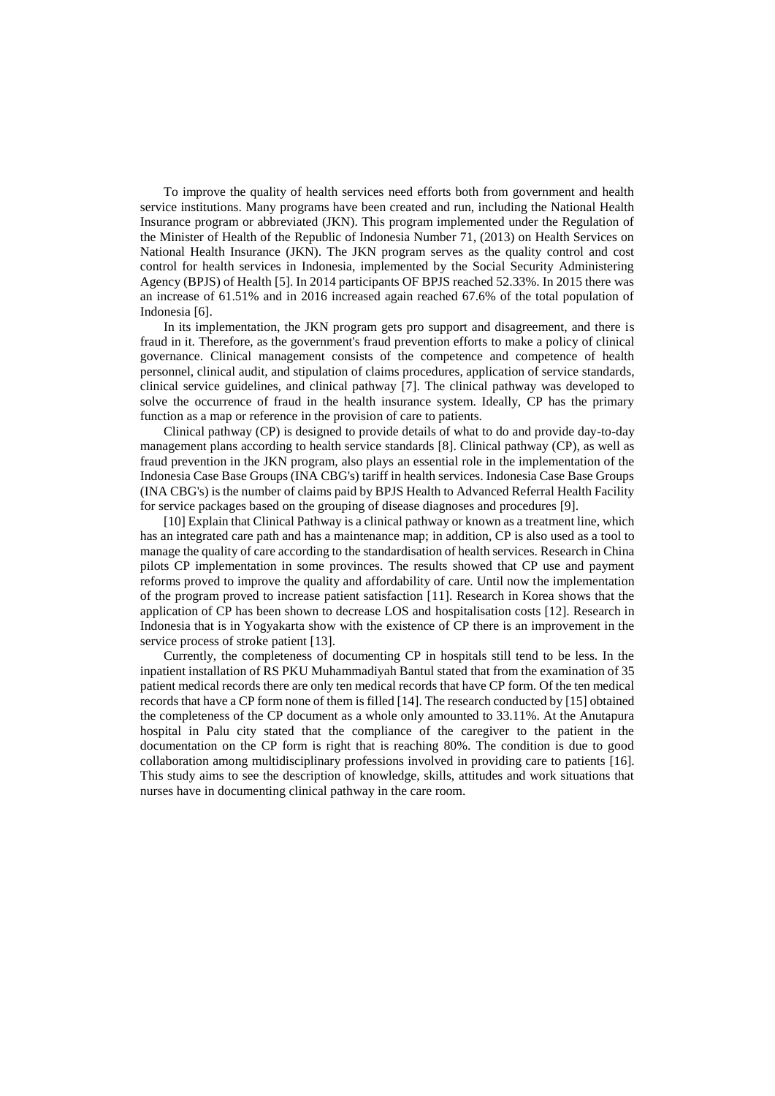To improve the quality of health services need efforts both from government and health service institutions. Many programs have been created and run, including the National Health Insurance program or abbreviated (JKN). This program implemented under the Regulation of the Minister of Health of the Republic of Indonesia Number 71, (2013) on Health Services on National Health Insurance (JKN). The JKN program serves as the quality control and cost control for health services in Indonesia, implemented by the Social Security Administering Agency (BPJS) of Health [5]. In 2014 participants OF BPJS reached 52.33%. In 2015 there was an increase of 61.51% and in 2016 increased again reached 67.6% of the total population of Indonesia [6].

In its implementation, the JKN program gets pro support and disagreement, and there is fraud in it. Therefore, as the government's fraud prevention efforts to make a policy of clinical governance. Clinical management consists of the competence and competence of health personnel, clinical audit, and stipulation of claims procedures, application of service standards, clinical service guidelines, and clinical pathway [7]. The clinical pathway was developed to solve the occurrence of fraud in the health insurance system. Ideally, CP has the primary function as a map or reference in the provision of care to patients.

Clinical pathway (CP) is designed to provide details of what to do and provide day-to-day management plans according to health service standards [8]. Clinical pathway (CP), as well as fraud prevention in the JKN program, also plays an essential role in the implementation of the Indonesia Case Base Groups (INA CBG's) tariff in health services. Indonesia Case Base Groups (INA CBG's) is the number of claims paid by BPJS Health to Advanced Referral Health Facility for service packages based on the grouping of disease diagnoses and procedures [9].

[10] Explain that Clinical Pathway is a clinical pathway or known as a treatment line, which has an integrated care path and has a maintenance map; in addition, CP is also used as a tool to manage the quality of care according to the standardisation of health services. Research in China pilots CP implementation in some provinces. The results showed that CP use and payment reforms proved to improve the quality and affordability of care. Until now the implementation of the program proved to increase patient satisfaction [11]. Research in Korea shows that the application of CP has been shown to decrease LOS and hospitalisation costs [12]. Research in Indonesia that is in Yogyakarta show with the existence of CP there is an improvement in the service process of stroke patient [13].

Currently, the completeness of documenting CP in hospitals still tend to be less. In the inpatient installation of RS PKU Muhammadiyah Bantul stated that from the examination of 35 patient medical records there are only ten medical records that have CP form. Of the ten medical records that have a CP form none of them is filled [14]. The research conducted by [15] obtained the completeness of the CP document as a whole only amounted to 33.11%. At the Anutapura hospital in Palu city stated that the compliance of the caregiver to the patient in the documentation on the CP form is right that is reaching 80%. The condition is due to good collaboration among multidisciplinary professions involved in providing care to patients [16]. This study aims to see the description of knowledge, skills, attitudes and work situations that nurses have in documenting clinical pathway in the care room.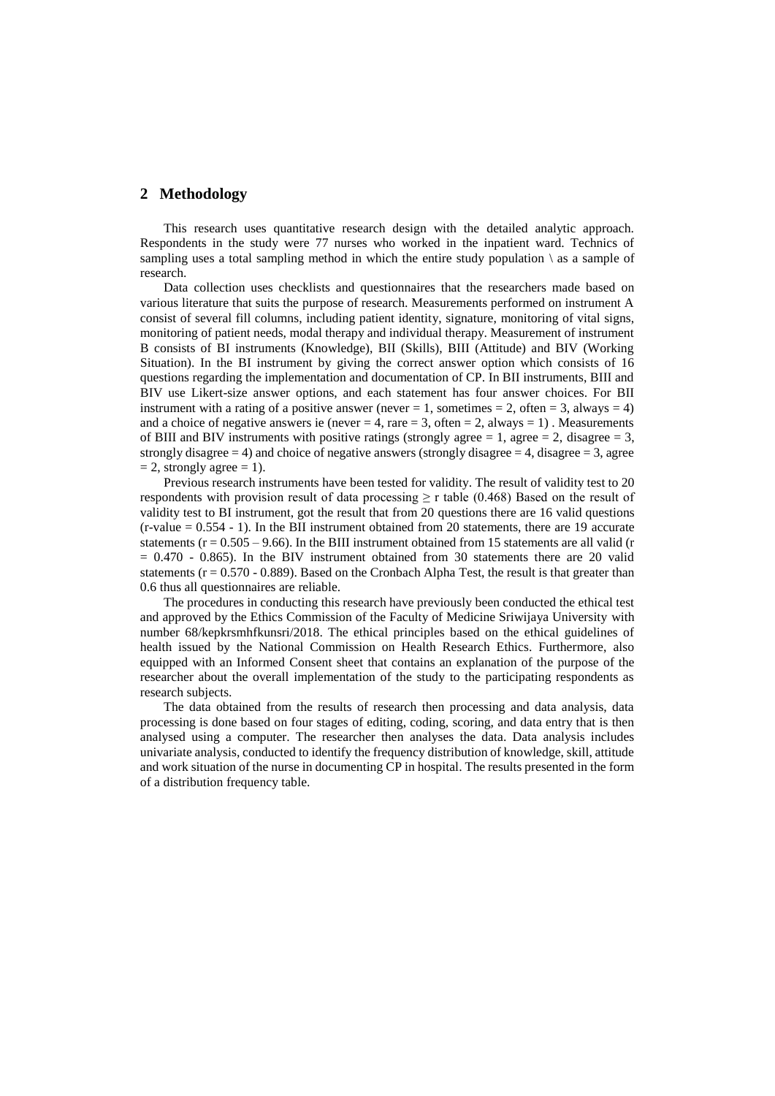## **2 Methodology**

This research uses quantitative research design with the detailed analytic approach. Respondents in the study were 77 nurses who worked in the inpatient ward. Technics of sampling uses a total sampling method in which the entire study population  $\setminus$  as a sample of research.

Data collection uses checklists and questionnaires that the researchers made based on various literature that suits the purpose of research. Measurements performed on instrument A consist of several fill columns, including patient identity, signature, monitoring of vital signs, monitoring of patient needs, modal therapy and individual therapy. Measurement of instrument B consists of BI instruments (Knowledge), BII (Skills), BIII (Attitude) and BIV (Working Situation). In the BI instrument by giving the correct answer option which consists of 16 questions regarding the implementation and documentation of CP. In BII instruments, BIII and BIV use Likert-size answer options, and each statement has four answer choices. For BII instrument with a rating of a positive answer (never  $= 1$ , sometimes  $= 2$ , often  $= 3$ , always  $= 4$ ) and a choice of negative answers ie (never  $= 4$ , rare  $= 3$ , often  $= 2$ , always  $= 1$ ). Measurements of BIII and BIV instruments with positive ratings (strongly agree  $= 1$ , agree  $= 2$ , disagree  $= 3$ , strongly disagree  $= 4$ ) and choice of negative answers (strongly disagree  $= 4$ , disagree  $= 3$ , agree  $= 2$ , strongly agree  $= 1$ ).

Previous research instruments have been tested for validity. The result of validity test to 20 respondents with provision result of data processing  $\geq r$  table (0.468) Based on the result of validity test to BI instrument, got the result that from 20 questions there are 16 valid questions (r-value = 0.554 - 1). In the BII instrument obtained from 20 statements, there are 19 accurate statements ( $r = 0.505 - 9.66$ ). In the BIII instrument obtained from 15 statements are all valid ( $r = 0.505 - 9.66$ ).  $= 0.470 - 0.865$ . In the BIV instrument obtained from 30 statements there are 20 valid statements  $(r = 0.570 - 0.889)$ . Based on the Cronbach Alpha Test, the result is that greater than 0.6 thus all questionnaires are reliable.

The procedures in conducting this research have previously been conducted the ethical test and approved by the Ethics Commission of the Faculty of Medicine Sriwijaya University with number 68/kepkrsmhfkunsri/2018. The ethical principles based on the ethical guidelines of health issued by the National Commission on Health Research Ethics. Furthermore, also equipped with an Informed Consent sheet that contains an explanation of the purpose of the researcher about the overall implementation of the study to the participating respondents as research subjects.

The data obtained from the results of research then processing and data analysis, data processing is done based on four stages of editing, coding, scoring, and data entry that is then analysed using a computer. The researcher then analyses the data. Data analysis includes univariate analysis, conducted to identify the frequency distribution of knowledge, skill, attitude and work situation of the nurse in documenting CP in hospital. The results presented in the form of a distribution frequency table.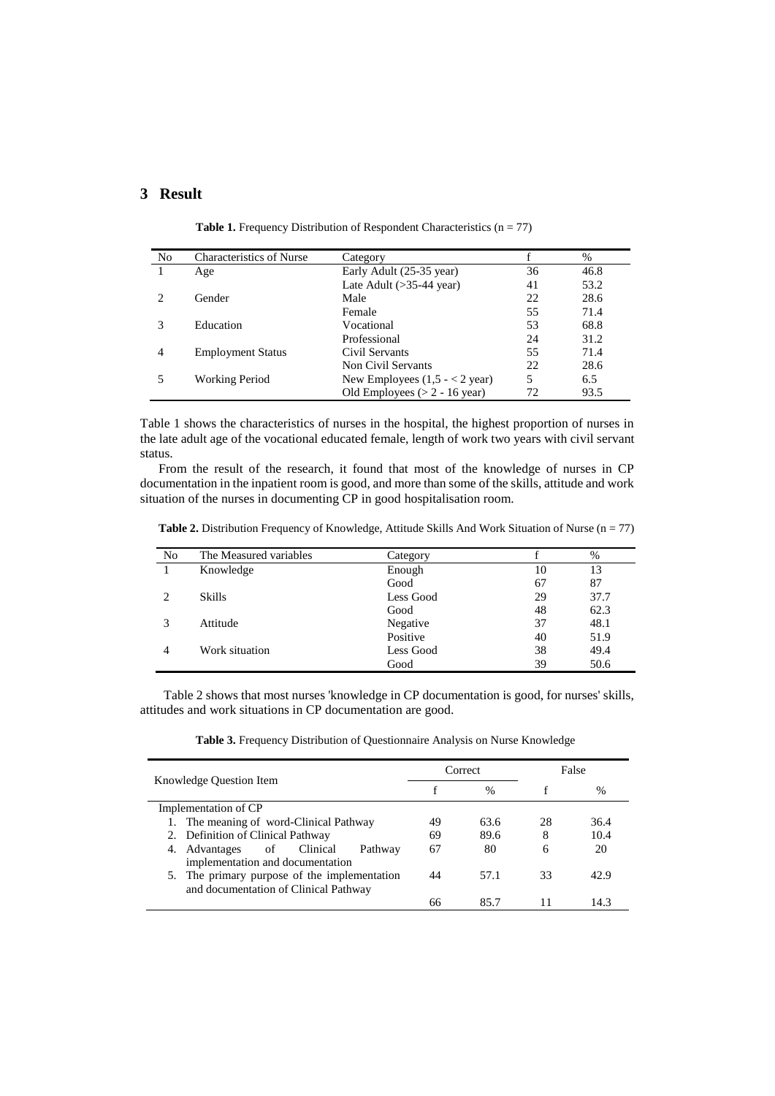## **3 Result**

| N <sub>0</sub>              | <b>Characteristics of Nurse</b> | Category                               |    | $\%$ |
|-----------------------------|---------------------------------|----------------------------------------|----|------|
|                             | Age                             | Early Adult (25-35 year)               | 36 | 46.8 |
|                             |                                 | Late Adult $($ >35-44 year $)$         | 41 | 53.2 |
| $\mathcal{D}_{\mathcal{A}}$ | Gender                          | Male                                   | 22 | 28.6 |
|                             |                                 | Female                                 | 55 | 71.4 |
| 3                           | Education                       | Vocational                             | 53 | 68.8 |
|                             |                                 | Professional                           | 24 | 31.2 |
| 4                           | <b>Employment Status</b>        | Civil Servants                         | 55 | 71.4 |
|                             |                                 | Non Civil Servants                     | 22 | 28.6 |
|                             | Working Period                  | New Employees $(1,5 - 2 \text{ year})$ | 5  | 6.5  |
|                             |                                 | Old Employees $(> 2 - 16$ year)        | 72 | 93.5 |

Table 1. Frequency Distribution of Respondent Characteristics (n = 77)

Table 1 shows the characteristics of nurses in the hospital, the highest proportion of nurses in the late adult age of the vocational educated female, length of work two years with civil servant status.

From the result of the research, it found that most of the knowledge of nurses in CP documentation in the inpatient room is good, and more than some of the skills, attitude and work situation of the nurses in documenting CP in good hospitalisation room.

Table 2. Distribution Frequency of Knowledge, Attitude Skills And Work Situation of Nurse (n = 77)

| No | The Measured variables | Category  |    | $\%$ |
|----|------------------------|-----------|----|------|
|    | Knowledge              | Enough    | 10 | 13   |
|    |                        | Good      | 67 | 87   |
|    | <b>Skills</b>          | Less Good | 29 | 37.7 |
|    |                        | Good      | 48 | 62.3 |
|    | Attitude               | Negative  | 37 | 48.1 |
|    |                        | Positive  | 40 | 51.9 |
| 4  | Work situation         | Less Good | 38 | 49.4 |
|    |                        | Good      | 39 | 50.6 |

Table 2 shows that most nurses 'knowledge in CP documentation is good, for nurses' skills, attitudes and work situations in CP documentation are good.

**Table 3.** Frequency Distribution of Questionnaire Analysis on Nurse Knowledge

| Knowledge Question Item                      | Correct       |      | False |      |
|----------------------------------------------|---------------|------|-------|------|
|                                              | $\frac{0}{0}$ |      |       | $\%$ |
| Implementation of CP                         |               |      |       |      |
| 1. The meaning of word-Clinical Pathway      | 49            | 63.6 | 28    | 36.4 |
| 2. Definition of Clinical Pathway            | 69            | 89.6 | 8     | 10.4 |
| of Clinical<br>4. Advantages<br>Pathway      | 67            | 80   | 6     | 20   |
| implementation and documentation             |               |      |       |      |
| 5. The primary purpose of the implementation | 44            | 57.1 | 33    | 42.9 |
| and documentation of Clinical Pathway        |               |      |       |      |
|                                              | 66            | 85.7 |       | 14.3 |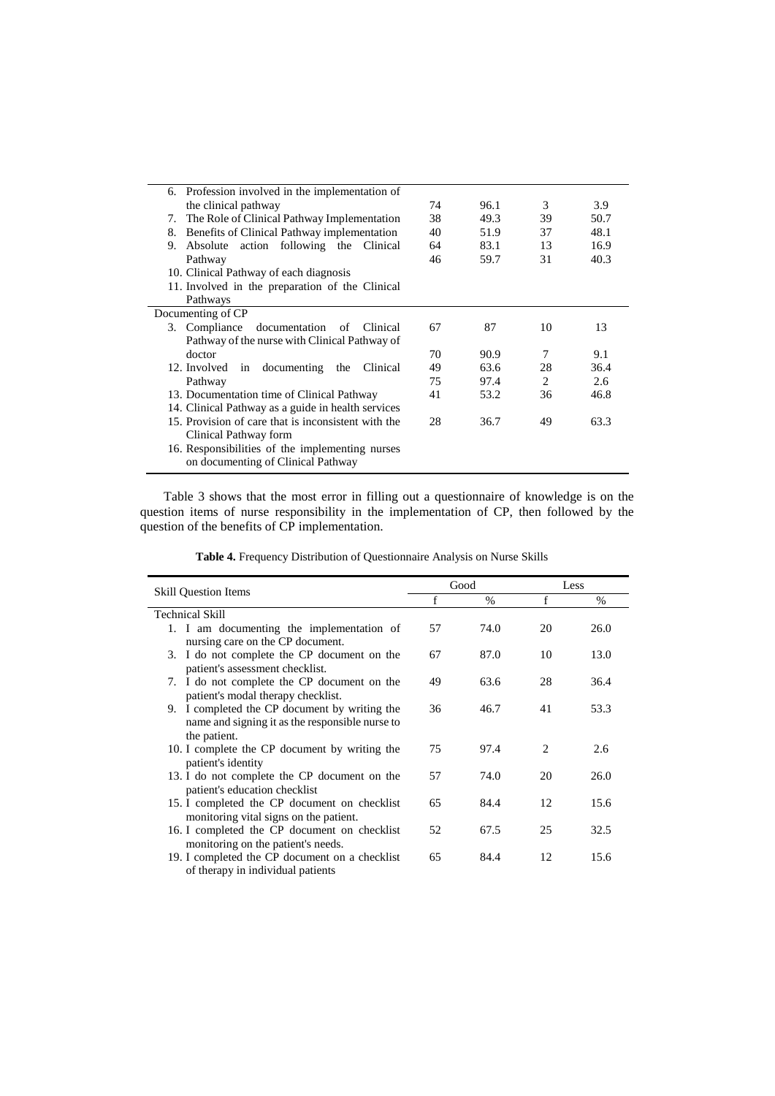| 6. Profession involved in the implementation of     |    |      |                               |      |
|-----------------------------------------------------|----|------|-------------------------------|------|
| the clinical pathway                                | 74 | 96.1 | 3                             | 3.9  |
| The Role of Clinical Pathway Implementation<br>7.   | 38 | 49.3 | 39                            | 50.7 |
| Benefits of Clinical Pathway implementation<br>8.   | 40 | 51.9 | 37                            | 48.1 |
| Absolute action following the Clinical<br>9.        | 64 | 83.1 | 13                            | 16.9 |
| Pathway                                             | 46 | 59.7 | 31                            | 40.3 |
| 10. Clinical Pathway of each diagnosis              |    |      |                               |      |
| 11. Involved in the preparation of the Clinical     |    |      |                               |      |
| Pathways                                            |    |      |                               |      |
| Documenting of CP                                   |    |      |                               |      |
| 3. Compliance documentation of Clinical             | 67 | 87   | 10                            | 13   |
| Pathway of the nurse with Clinical Pathway of       |    |      |                               |      |
| doctor                                              | 70 | 90.9 | 7                             | 9.1  |
| 12. Involved in documenting<br>Clinical<br>the      | 49 | 63.6 | 28                            | 36.4 |
| Pathway                                             | 75 | 97.4 | $\mathfrak{D}_{\mathfrak{p}}$ | 2.6  |
| 13. Documentation time of Clinical Pathway          | 41 | 53.2 | 36                            | 46.8 |
| 14. Clinical Pathway as a guide in health services  |    |      |                               |      |
| 15. Provision of care that is inconsistent with the | 28 | 36.7 | 49                            | 63.3 |
| Clinical Pathway form                               |    |      |                               |      |
| 16. Responsibilities of the implementing nurses     |    |      |                               |      |
| on documenting of Clinical Pathway                  |    |      |                               |      |
|                                                     |    |      |                               |      |

Table 3 shows that the most error in filling out a questionnaire of knowledge is on the question items of nurse responsibility in the implementation of CP, then followed by the question of the benefits of CP implementation.

**Table 4.** Frequency Distribution of Questionnaire Analysis on Nurse Skills

| <b>Skill Question Items</b>                                                                                      |    | Good | Less                          |      |
|------------------------------------------------------------------------------------------------------------------|----|------|-------------------------------|------|
|                                                                                                                  | f  | $\%$ | f                             | $\%$ |
| Technical Skill                                                                                                  |    |      |                               |      |
| 1. I am documenting the implementation of<br>nursing care on the CP document.                                    | 57 | 74.0 | 20                            | 26.0 |
| 3. I do not complete the CP document on the<br>patient's assessment checklist.                                   | 67 | 87.0 | 10                            | 13.0 |
| 7. I do not complete the CP document on the<br>patient's modal therapy checklist.                                | 49 | 63.6 | 28                            | 36.4 |
| 9. I completed the CP document by writing the<br>name and signing it as the responsible nurse to<br>the patient. | 36 | 46.7 | 41                            | 53.3 |
| 10. I complete the CP document by writing the<br>patient's identity                                              | 75 | 97.4 | $\mathfrak{D}_{\mathfrak{p}}$ | 2.6  |
| 13. I do not complete the CP document on the<br>patient's education checklist                                    | 57 | 74.0 | 20                            | 26.0 |
| 15. I completed the CP document on checklist<br>monitoring vital signs on the patient.                           | 65 | 84.4 | 12                            | 15.6 |
| 16. I completed the CP document on checklist<br>monitoring on the patient's needs.                               | 52 | 67.5 | 25                            | 32.5 |
| 19. I completed the CP document on a checklist<br>of therapy in individual patients                              | 65 | 84.4 | 12                            | 15.6 |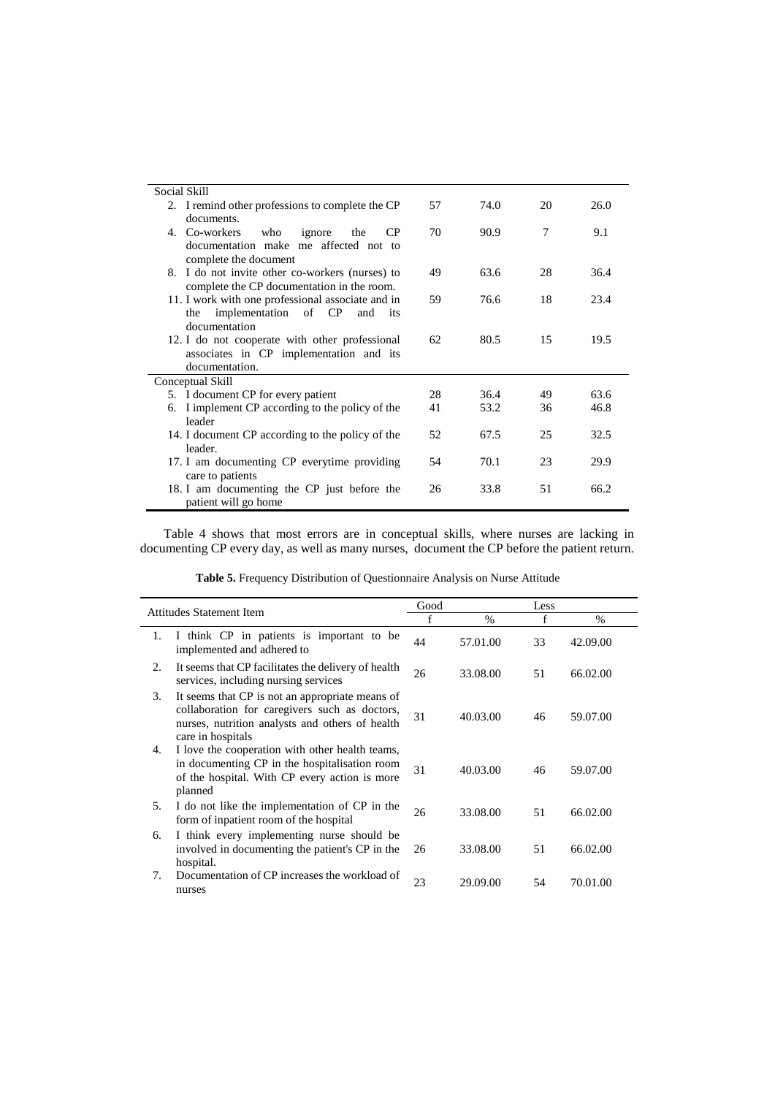| Social Skill                                      |    |      |    |      |
|---------------------------------------------------|----|------|----|------|
| 2. I remind other professions to complete the CP  | 57 | 74.0 | 20 | 26.0 |
| documents.                                        |    |      |    |      |
| CP<br>4. Co-workers<br>ignore<br>who<br>the       | 70 | 90.9 | 7  | 9.1  |
| documentation make me affected not to             |    |      |    |      |
| complete the document                             |    |      |    |      |
| 8. I do not invite other co-workers (nurses) to   | 49 | 63.6 | 28 | 36.4 |
| complete the CP documentation in the room.        |    |      |    |      |
| 11. I work with one professional associate and in | 59 | 76.6 | 18 | 23.4 |
| implementation of CP<br>the<br>and<br>its         |    |      |    |      |
| documentation                                     |    |      |    |      |
| 12. I do not cooperate with other professional    | 62 | 80.5 | 15 | 19.5 |
| associates in CP implementation and its           |    |      |    |      |
| documentation.                                    |    |      |    |      |
| Conceptual Skill                                  |    |      |    |      |
| 5. I document CP for every patient                | 28 | 36.4 | 49 | 63.6 |
| 6. I implement CP according to the policy of the  | 41 | 53.2 | 36 | 46.8 |
| leader                                            |    |      |    |      |
| 14. I document CP according to the policy of the  | 52 | 67.5 | 25 | 32.5 |
| leader.                                           |    |      |    |      |
| 17. I am documenting CP everytime providing       | 54 | 70.1 | 23 | 29.9 |
| care to patients                                  |    |      |    |      |
| 18. I am documenting the CP just before the       | 26 | 33.8 | 51 | 66.2 |
| patient will go home                              |    |      |    |      |

Table 4 shows that most errors are in conceptual skills, where nurses are lacking in documenting CP every day, as well as many nurses, document the CP before the patient return.

|    | Attitudes Statement Item                                                                                                                                                 | Good |          | Less         |          |
|----|--------------------------------------------------------------------------------------------------------------------------------------------------------------------------|------|----------|--------------|----------|
|    |                                                                                                                                                                          | f    | $\%$     | $\mathsf{f}$ | $\%$     |
| 1. | I think CP in patients is important to be<br>implemented and adhered to                                                                                                  | 44   | 57.01.00 | 33           | 42.09.00 |
| 2. | It seems that CP facilitates the delivery of health<br>services, including nursing services                                                                              | 26   | 33.08.00 | 51           | 66.02.00 |
| 3. | It seems that CP is not an appropriate means of<br>collaboration for caregivers such as doctors,<br>nurses, nutrition analysts and others of health<br>care in hospitals | 31   | 40.03.00 | 46           | 59.07.00 |
| 4. | I love the cooperation with other health teams,<br>in documenting CP in the hospitalisation room<br>of the hospital. With CP every action is more<br>planned             | 31   | 40.03.00 | 46           | 59.07.00 |
| 5. | I do not like the implementation of CP in the<br>form of inpatient room of the hospital                                                                                  | 26   | 33.08.00 | 51           | 66.02.00 |
| 6. | I think every implementing nurse should be<br>involved in documenting the patient's CP in the<br>hospital.                                                               | 26   | 33.08.00 | 51           | 66.02.00 |
| 7. | Documentation of CP increases the workload of<br>nurses                                                                                                                  | 23   | 29.09.00 | 54           | 70.01.00 |

**Table 5.** Frequency Distribution of Questionnaire Analysis on Nurse Attitude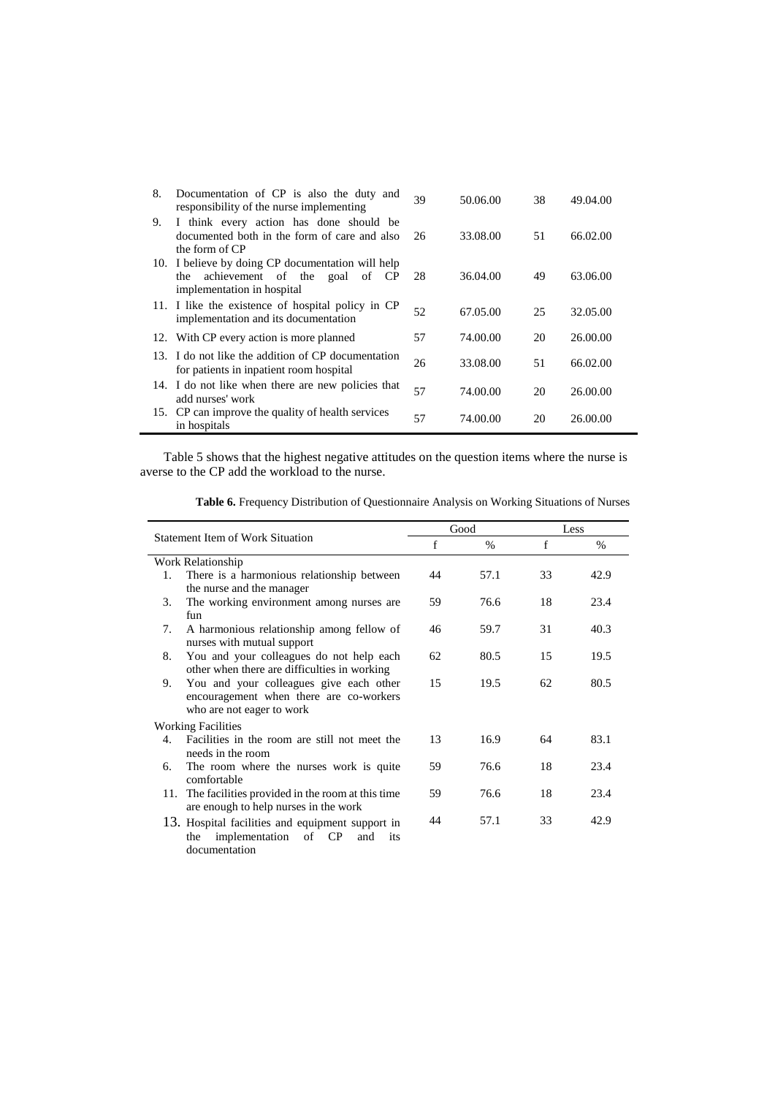| 8.  | Documentation of CP is also the duty and<br>responsibility of the nurse implementing                                | 39 | 50.06.00 | 38 | 49.04.00 |
|-----|---------------------------------------------------------------------------------------------------------------------|----|----------|----|----------|
| 9.  | I think every action has done should be<br>documented both in the form of care and also<br>the form of CP           | 26 | 33.08.00 | 51 | 66.02.00 |
| 10. | I believe by doing CP documentation will help<br>achievement of the goal of CP<br>the<br>implementation in hospital | 28 | 36.04.00 | 49 | 63.06.00 |
|     | 11. I like the existence of hospital policy in CP<br>implementation and its documentation                           | 52 | 67.05.00 | 25 | 32.05.00 |
|     | 12. With CP every action is more planned                                                                            | 57 | 74.00.00 | 20 | 26.00.00 |
|     | 13. I do not like the addition of CP documentation<br>for patients in inpatient room hospital                       | 26 | 33.08.00 | 51 | 66.02.00 |
|     | 14. I do not like when there are new policies that<br>add nurses' work                                              | 57 | 74.00.00 | 20 | 26.00.00 |
|     | 15. CP can improve the quality of health services<br>in hospitals                                                   | 57 | 74.00.00 | 20 | 26.00.00 |

Table 5 shows that the highest negative attitudes on the question items where the nurse is averse to the CP add the workload to the nurse.

| <b>Table 6.</b> Frequency Distribution of Questionnaire Analysis on Working Situations of Nurses |  |  |  |
|--------------------------------------------------------------------------------------------------|--|--|--|
|                                                                                                  |  |  |  |

| <b>Statement Item of Work Situation</b> |                                                                                    |    | Good |              | Less |  |
|-----------------------------------------|------------------------------------------------------------------------------------|----|------|--------------|------|--|
|                                         |                                                                                    | f  | $\%$ | $\mathsf{f}$ | $\%$ |  |
| Work Relationship                       |                                                                                    |    |      |              |      |  |
| 1.                                      | There is a harmonious relationship between                                         | 44 | 57.1 | 33           | 42.9 |  |
|                                         | the nurse and the manager                                                          |    |      |              |      |  |
| 3.                                      | The working environment among nurses are.                                          | 59 | 76.6 | 18           | 23.4 |  |
|                                         | fun                                                                                |    |      |              |      |  |
| 7.                                      | A harmonious relationship among fellow of                                          | 46 | 59.7 | 31           | 40.3 |  |
|                                         | nurses with mutual support                                                         |    |      |              |      |  |
| 8.                                      | You and your colleagues do not help each                                           | 62 | 80.5 | 15           | 19.5 |  |
|                                         | other when there are difficulties in working                                       |    |      |              |      |  |
| 9.                                      | You and your colleagues give each other<br>encouragement when there are co-workers | 15 | 19.5 | 62           | 80.5 |  |
|                                         | who are not eager to work                                                          |    |      |              |      |  |
|                                         |                                                                                    |    |      |              |      |  |
|                                         | <b>Working Facilities</b>                                                          |    |      |              |      |  |
| $4_{-}$                                 | Facilities in the room are still not meet the                                      | 13 | 16.9 | 64           | 83.1 |  |
|                                         | needs in the room                                                                  |    |      |              |      |  |
| 6.                                      | The room where the nurses work is quite<br>comfortable                             | 59 | 76.6 | 18           | 23.4 |  |
|                                         | 11. The facilities provided in the room at this time                               | 59 | 76.6 | 18           | 23.4 |  |
|                                         | are enough to help nurses in the work                                              |    |      |              |      |  |
|                                         |                                                                                    | 44 | 57.1 | 33           | 42.9 |  |
|                                         | 13. Hospital facilities and equipment support in                                   |    |      |              |      |  |
|                                         | of CP<br>implementation<br>the<br>and<br>its                                       |    |      |              |      |  |

documentation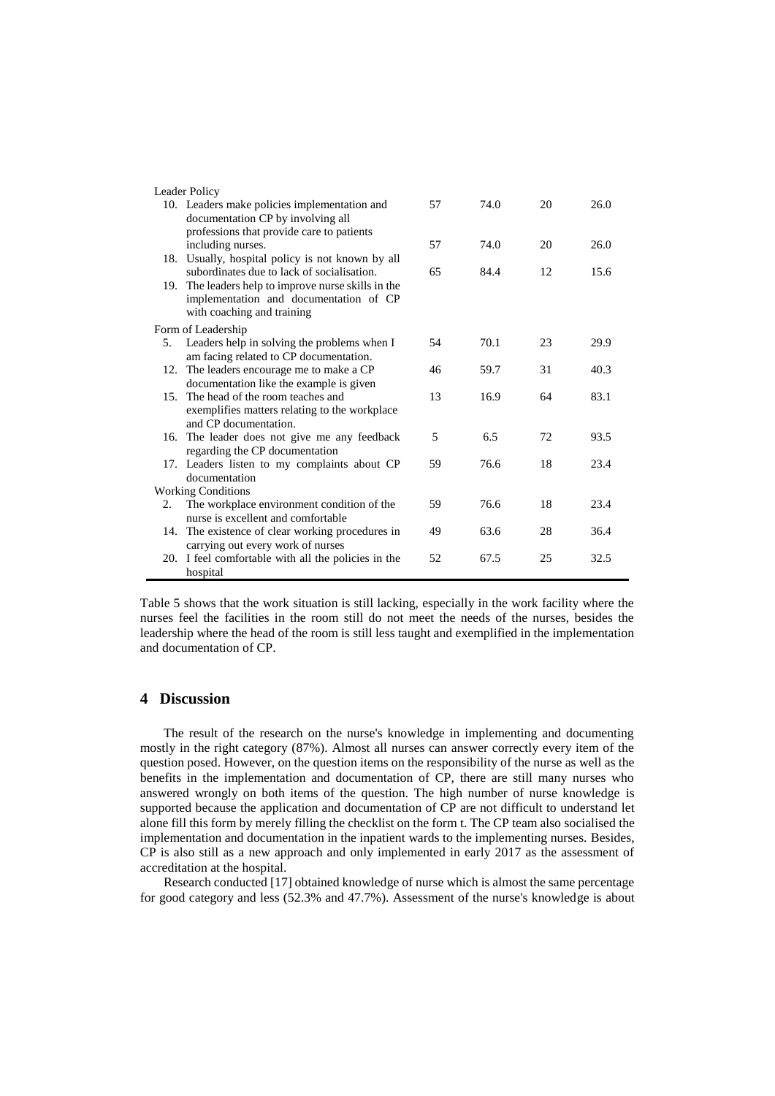| Leader Policy |                                                               |    |      |    |      |
|---------------|---------------------------------------------------------------|----|------|----|------|
|               | 10. Leaders make policies implementation and                  | 57 | 74.0 | 20 | 26.0 |
|               | documentation CP by involving all                             |    |      |    |      |
|               | professions that provide care to patients                     |    |      |    |      |
|               | including nurses.                                             | 57 | 74.0 | 20 | 26.0 |
|               | 18. Usually, hospital policy is not known by all              |    |      |    |      |
|               | subordinates due to lack of socialisation.                    | 65 | 84.4 | 12 | 15.6 |
|               | 19. The leaders help to improve nurse skills in the           |    |      |    |      |
|               | implementation and documentation of CP                        |    |      |    |      |
|               | with coaching and training                                    |    |      |    |      |
|               | Form of Leadership                                            |    |      |    |      |
| 5.            | Leaders help in solving the problems when I                   | 54 | 70.1 | 23 | 29.9 |
|               | am facing related to CP documentation.                        |    |      |    |      |
| 12.           | The leaders encourage me to make a CP                         | 46 | 59.7 | 31 | 40.3 |
|               | documentation like the example is given                       |    |      |    |      |
|               | 15. The head of the room teaches and                          | 13 | 16.9 | 64 | 83.1 |
|               | exemplifies matters relating to the workplace                 |    |      |    |      |
|               | and CP documentation.                                         | 5  |      | 72 |      |
|               | 16. The leader does not give me any feedback                  |    | 6.5  |    | 93.5 |
|               | regarding the CP documentation                                | 59 | 76.6 | 18 | 23.4 |
|               | 17. Leaders listen to my complaints about CP<br>documentation |    |      |    |      |
|               | <b>Working Conditions</b>                                     |    |      |    |      |
| 2.            | The workplace environment condition of the                    | 59 | 76.6 | 18 | 23.4 |
|               | nurse is excellent and comfortable                            |    |      |    |      |
|               | 14. The existence of clear working procedures in              | 49 | 63.6 | 28 | 36.4 |
|               | carrying out every work of nurses                             |    |      |    |      |
|               |                                                               |    |      |    |      |
|               |                                                               |    |      |    |      |
| 20.           | I feel comfortable with all the policies in the<br>hospital   | 52 | 67.5 | 25 | 32.5 |

Table 5 shows that the work situation is still lacking, especially in the work facility where the nurses feel the facilities in the room still do not meet the needs of the nurses, besides the leadership where the head of the room is still less taught and exemplified in the implementation and documentation of CP.

### **4 Discussion**

The result of the research on the nurse's knowledge in implementing and documenting mostly in the right category (87%). Almost all nurses can answer correctly every item of the question posed. However, on the question items on the responsibility of the nurse as well as the benefits in the implementation and documentation of CP, there are still many nurses who answered wrongly on both items of the question. The high number of nurse knowledge is supported because the application and documentation of CP are not difficult to understand let alone fill this form by merely filling the checklist on the form t. The CP team also socialised the implementation and documentation in the inpatient wards to the implementing nurses. Besides, CP is also still as a new approach and only implemented in early 2017 as the assessment of accreditation at the hospital.

Research conducted [17] obtained knowledge of nurse which is almost the same percentage for good category and less (52.3% and 47.7%). Assessment of the nurse's knowledge is about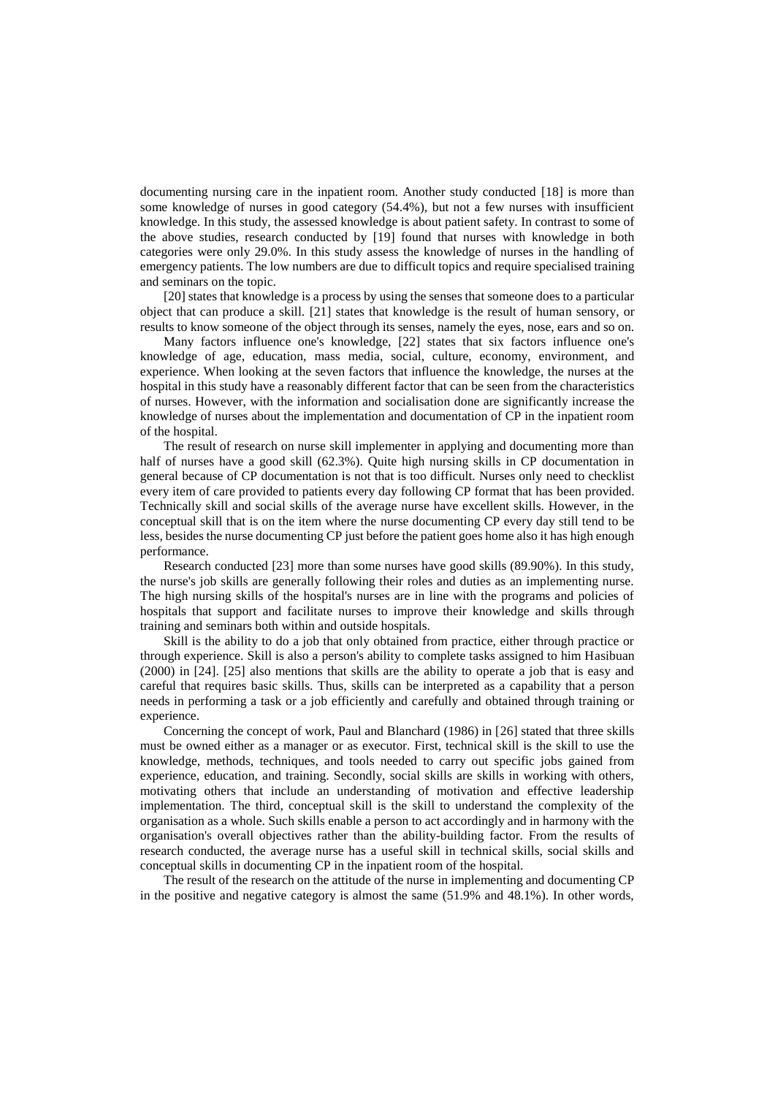documenting nursing care in the inpatient room. Another study conducted [18] is more than some knowledge of nurses in good category (54.4%), but not a few nurses with insufficient knowledge. In this study, the assessed knowledge is about patient safety. In contrast to some of the above studies, research conducted by [19] found that nurses with knowledge in both categories were only 29.0%. In this study assess the knowledge of nurses in the handling of emergency patients. The low numbers are due to difficult topics and require specialised training and seminars on the topic.

[20] states that knowledge is a process by using the senses that someone does to a particular object that can produce a skill. [21] states that knowledge is the result of human sensory, or results to know someone of the object through its senses, namely the eyes, nose, ears and so on.

Many factors influence one's knowledge, [22] states that six factors influence one's knowledge of age, education, mass media, social, culture, economy, environment, and experience. When looking at the seven factors that influence the knowledge, the nurses at the hospital in this study have a reasonably different factor that can be seen from the characteristics of nurses. However, with the information and socialisation done are significantly increase the knowledge of nurses about the implementation and documentation of CP in the inpatient room of the hospital.

The result of research on nurse skill implementer in applying and documenting more than half of nurses have a good skill (62.3%). Quite high nursing skills in CP documentation in general because of CP documentation is not that is too difficult. Nurses only need to checklist every item of care provided to patients every day following CP format that has been provided. Technically skill and social skills of the average nurse have excellent skills. However, in the conceptual skill that is on the item where the nurse documenting CP every day still tend to be less, besides the nurse documenting CP just before the patient goes home also it has high enough performance.

Research conducted [23] more than some nurses have good skills (89.90%). In this study, the nurse's job skills are generally following their roles and duties as an implementing nurse. The high nursing skills of the hospital's nurses are in line with the programs and policies of hospitals that support and facilitate nurses to improve their knowledge and skills through training and seminars both within and outside hospitals.

Skill is the ability to do a job that only obtained from practice, either through practice or through experience. Skill is also a person's ability to complete tasks assigned to him Hasibuan (2000) in [24]. [25] also mentions that skills are the ability to operate a job that is easy and careful that requires basic skills. Thus, skills can be interpreted as a capability that a person needs in performing a task or a job efficiently and carefully and obtained through training or experience.

Concerning the concept of work, Paul and Blanchard (1986) in [26] stated that three skills must be owned either as a manager or as executor. First, technical skill is the skill to use the knowledge, methods, techniques, and tools needed to carry out specific jobs gained from experience, education, and training. Secondly, social skills are skills in working with others, motivating others that include an understanding of motivation and effective leadership implementation. The third, conceptual skill is the skill to understand the complexity of the organisation as a whole. Such skills enable a person to act accordingly and in harmony with the organisation's overall objectives rather than the ability-building factor. From the results of research conducted, the average nurse has a useful skill in technical skills, social skills and conceptual skills in documenting CP in the inpatient room of the hospital.

The result of the research on the attitude of the nurse in implementing and documenting CP in the positive and negative category is almost the same (51.9% and 48.1%). In other words,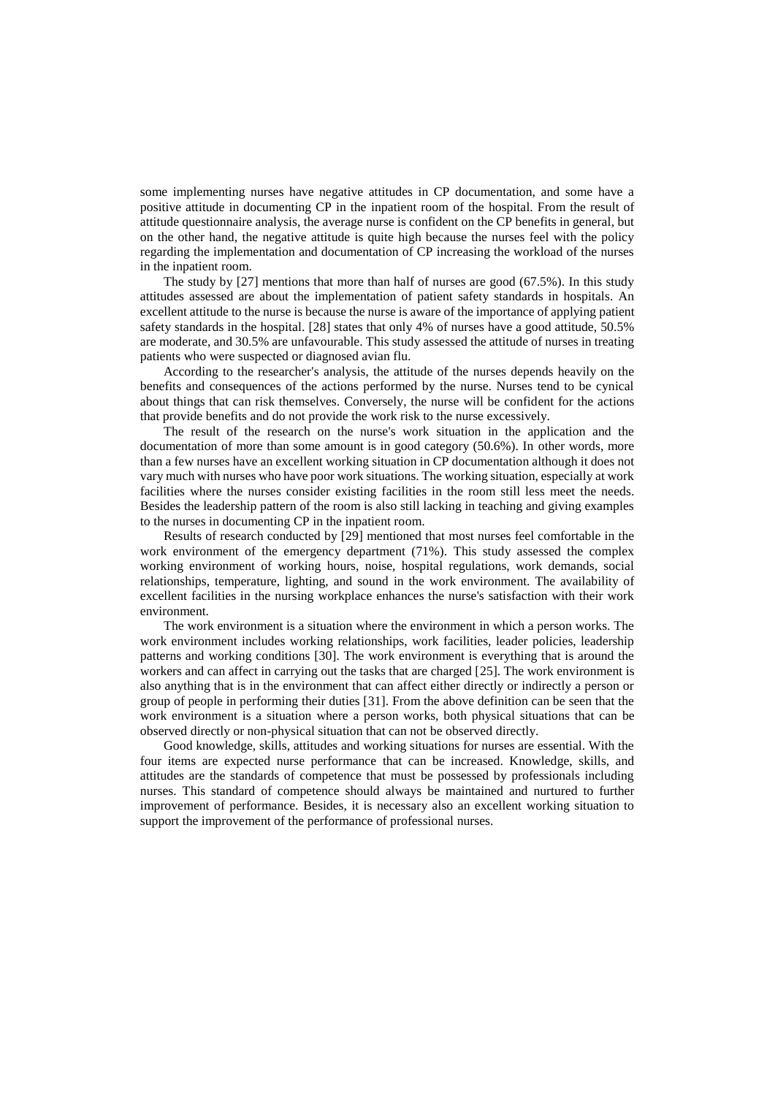some implementing nurses have negative attitudes in CP documentation, and some have a positive attitude in documenting CP in the inpatient room of the hospital. From the result of attitude questionnaire analysis, the average nurse is confident on the CP benefits in general, but on the other hand, the negative attitude is quite high because the nurses feel with the policy regarding the implementation and documentation of CP increasing the workload of the nurses in the inpatient room.

The study by [27] mentions that more than half of nurses are good (67.5%). In this study attitudes assessed are about the implementation of patient safety standards in hospitals. An excellent attitude to the nurse is because the nurse is aware of the importance of applying patient safety standards in the hospital. [28] states that only 4% of nurses have a good attitude, 50.5% are moderate, and 30.5% are unfavourable. This study assessed the attitude of nurses in treating patients who were suspected or diagnosed avian flu.

According to the researcher's analysis, the attitude of the nurses depends heavily on the benefits and consequences of the actions performed by the nurse. Nurses tend to be cynical about things that can risk themselves. Conversely, the nurse will be confident for the actions that provide benefits and do not provide the work risk to the nurse excessively.

The result of the research on the nurse's work situation in the application and the documentation of more than some amount is in good category (50.6%). In other words, more than a few nurses have an excellent working situation in CP documentation although it does not vary much with nurses who have poor work situations. The working situation, especially at work facilities where the nurses consider existing facilities in the room still less meet the needs. Besides the leadership pattern of the room is also still lacking in teaching and giving examples to the nurses in documenting CP in the inpatient room.

Results of research conducted by [29] mentioned that most nurses feel comfortable in the work environment of the emergency department (71%). This study assessed the complex working environment of working hours, noise, hospital regulations, work demands, social relationships, temperature, lighting, and sound in the work environment. The availability of excellent facilities in the nursing workplace enhances the nurse's satisfaction with their work environment.

The work environment is a situation where the environment in which a person works. The work environment includes working relationships, work facilities, leader policies, leadership patterns and working conditions [30]. The work environment is everything that is around the workers and can affect in carrying out the tasks that are charged [25]. The work environment is also anything that is in the environment that can affect either directly or indirectly a person or group of people in performing their duties [31]. From the above definition can be seen that the work environment is a situation where a person works, both physical situations that can be observed directly or non-physical situation that can not be observed directly.

Good knowledge, skills, attitudes and working situations for nurses are essential. With the four items are expected nurse performance that can be increased. Knowledge, skills, and attitudes are the standards of competence that must be possessed by professionals including nurses. This standard of competence should always be maintained and nurtured to further improvement of performance. Besides, it is necessary also an excellent working situation to support the improvement of the performance of professional nurses.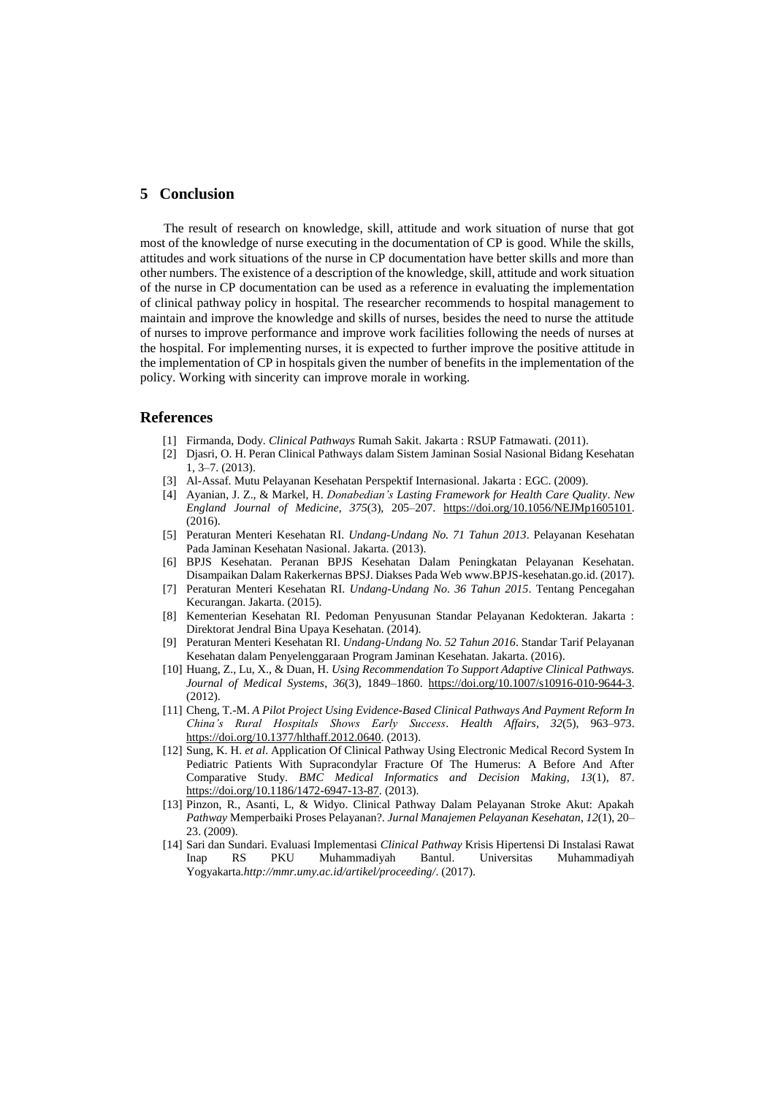## **5 Conclusion**

The result of research on knowledge, skill, attitude and work situation of nurse that got most of the knowledge of nurse executing in the documentation of CP is good. While the skills, attitudes and work situations of the nurse in CP documentation have better skills and more than other numbers. The existence of a description of the knowledge, skill, attitude and work situation of the nurse in CP documentation can be used as a reference in evaluating the implementation of clinical pathway policy in hospital. The researcher recommends to hospital management to maintain and improve the knowledge and skills of nurses, besides the need to nurse the attitude of nurses to improve performance and improve work facilities following the needs of nurses at the hospital. For implementing nurses, it is expected to further improve the positive attitude in the implementation of CP in hospitals given the number of benefits in the implementation of the policy. Working with sincerity can improve morale in working.

#### **References**

- [1] Firmanda, Dody. *Clinical Pathways* Rumah Sakit. Jakarta : RSUP Fatmawati. (2011).
- [2] Djasri, O. H. Peran Clinical Pathways dalam Sistem Jaminan Sosial Nasional Bidang Kesehatan 1, 3–7. (2013).
- [3] Al-Assaf. Mutu Pelayanan Kesehatan Perspektif Internasional. Jakarta : EGC. (2009).
- [4] Ayanian, J. Z., & Markel, H. *Donabedian's Lasting Framework for Health Care Quality*. *New England Journal of Medicine*, *375*(3), 205–207. https://doi.org/10.1056/NEJMp1605101. (2016).
- [5] Peraturan Menteri Kesehatan RI. *Undang-Undang No. 71 Tahun 2013*. Pelayanan Kesehatan Pada Jaminan Kesehatan Nasional. Jakarta. (2013).
- [6] BPJS Kesehatan. Peranan BPJS Kesehatan Dalam Peningkatan Pelayanan Kesehatan. Disampaikan Dalam Rakerkernas BPSJ. Diakses Pada Web www.BPJS-kesehatan.go.id. (2017).
- [7] Peraturan Menteri Kesehatan RI. *Undang-Undang No. 36 Tahun 2015*. Tentang Pencegahan Kecurangan. Jakarta. (2015).
- [8] Kementerian Kesehatan RI. Pedoman Penyusunan Standar Pelayanan Kedokteran. Jakarta : Direktorat Jendral Bina Upaya Kesehatan. (2014).
- [9] Peraturan Menteri Kesehatan RI. *Undang-Undang No. 52 Tahun 2016*. Standar Tarif Pelayanan Kesehatan dalam Penyelenggaraan Program Jaminan Kesehatan. Jakarta. (2016).
- [10] Huang, Z., Lu, X., & Duan, H. *Using Recommendation To Support Adaptive Clinical Pathways. Journal of Medical Systems*, *36*(3), 1849–1860. https://doi.org/10.1007/s10916-010-9644-3. (2012).
- [11] Cheng, T.-M. *A Pilot Project Using Evidence-Based Clinical Pathways And Payment Reform In China's Rural Hospitals Shows Early Success*. *Health Affairs*, *32*(5), 963–973. https://doi.org/10.1377/hlthaff.2012.0640. (2013).
- [12] Sung, K. H. *et al*. Application Of Clinical Pathway Using Electronic Medical Record System In Pediatric Patients With Supracondylar Fracture Of The Humerus: A Before And After Comparative Study. *BMC Medical Informatics and Decision Making*, *13*(1), 87. https://doi.org/10.1186/1472-6947-13-87. (2013).
- [13] Pinzon, R., Asanti, L, & Widyo. Clinical Pathway Dalam Pelayanan Stroke Akut: Apakah *Pathway* Memperbaiki Proses Pelayanan?. *Jurnal Manajemen Pelayanan Kesehatan*, *12*(1), 20– 23. (2009).
- [14] Sari dan Sundari. Evaluasi Implementasi *Clinical Pathway* Krisis Hipertensi Di Instalasi Rawat Inap RS PKU Muhammadiyah Bantul. Universitas Muhammadiyah Yogyakarta.*http://mmr.umy.ac.id/artikel/proceeding/*. (2017).